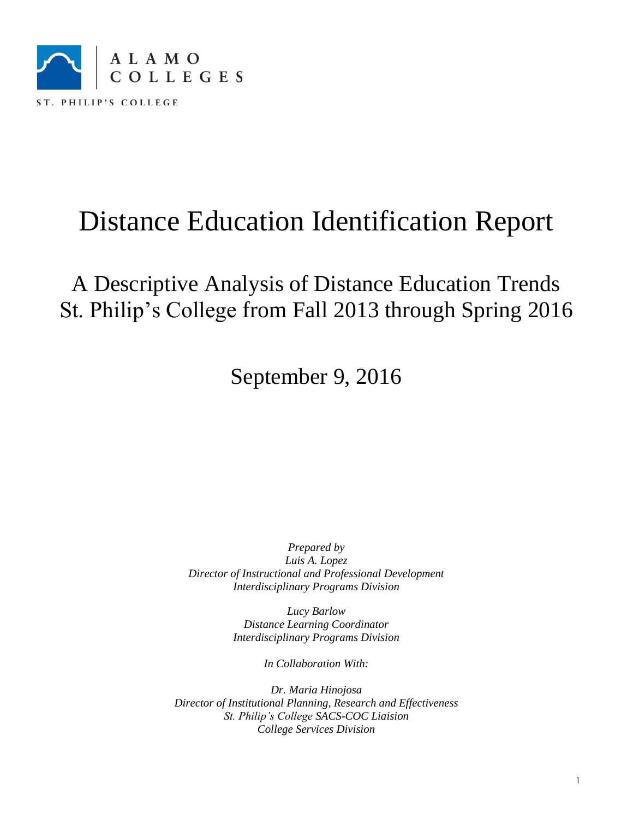

A Descriptive Analysis of Distance Education Trends St. Philip's College from Fall 2013 through Spring 2016

September 9, 2016

*Prepared by Luis A. Lopez Director of Instructional and Professional Development Interdisciplinary Programs Division*

> *Lucy Barlow Distance Learning Coordinator Interdisciplinary Programs Division*

> > *In Collaboration With:*

*Dr. Maria Hinojosa Director of Institutional Planning, Research and Effectiveness St. Philip's College SACS-COC Liaision College Services Division*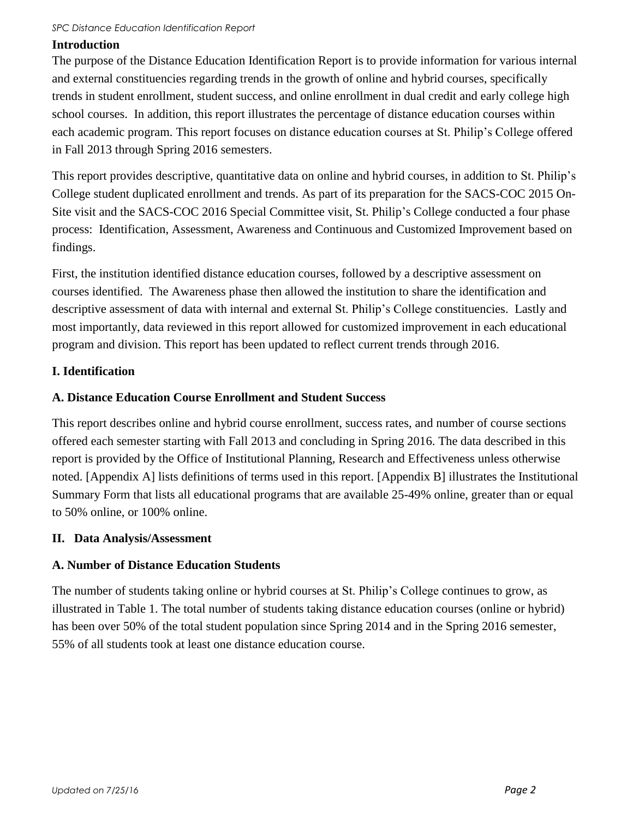### **Introduction**

The purpose of the Distance Education Identification Report is to provide information for various internal and external constituencies regarding trends in the growth of online and hybrid courses, specifically trends in student enrollment, student success, and online enrollment in dual credit and early college high school courses. In addition, this report illustrates the percentage of distance education courses within each academic program. This report focuses on distance education courses at St. Philip's College offered in Fall 2013 through Spring 2016 semesters.

This report provides descriptive, quantitative data on online and hybrid courses, in addition to St. Philip's College student duplicated enrollment and trends. As part of its preparation for the SACS-COC 2015 On-Site visit and the SACS-COC 2016 Special Committee visit, St. Philip's College conducted a four phase process: Identification, Assessment, Awareness and Continuous and Customized Improvement based on findings.

First, the institution identified distance education courses, followed by a descriptive assessment on courses identified. The Awareness phase then allowed the institution to share the identification and descriptive assessment of data with internal and external St. Philip's College constituencies. Lastly and most importantly, data reviewed in this report allowed for customized improvement in each educational program and division. This report has been updated to reflect current trends through 2016.

### **I. Identification**

### **A. Distance Education Course Enrollment and Student Success**

This report describes online and hybrid course enrollment, success rates, and number of course sections offered each semester starting with Fall 2013 and concluding in Spring 2016. The data described in this report is provided by the Office of Institutional Planning, Research and Effectiveness unless otherwise noted. [Appendix A] lists definitions of terms used in this report. [Appendix B] illustrates the Institutional Summary Form that lists all educational programs that are available 25-49% online, greater than or equal to 50% online, or 100% online.

### **II. Data Analysis/Assessment**

### **A. Number of Distance Education Students**

The number of students taking online or hybrid courses at St. Philip's College continues to grow, as illustrated in Table 1. The total number of students taking distance education courses (online or hybrid) has been over 50% of the total student population since Spring 2014 and in the Spring 2016 semester, 55% of all students took at least one distance education course.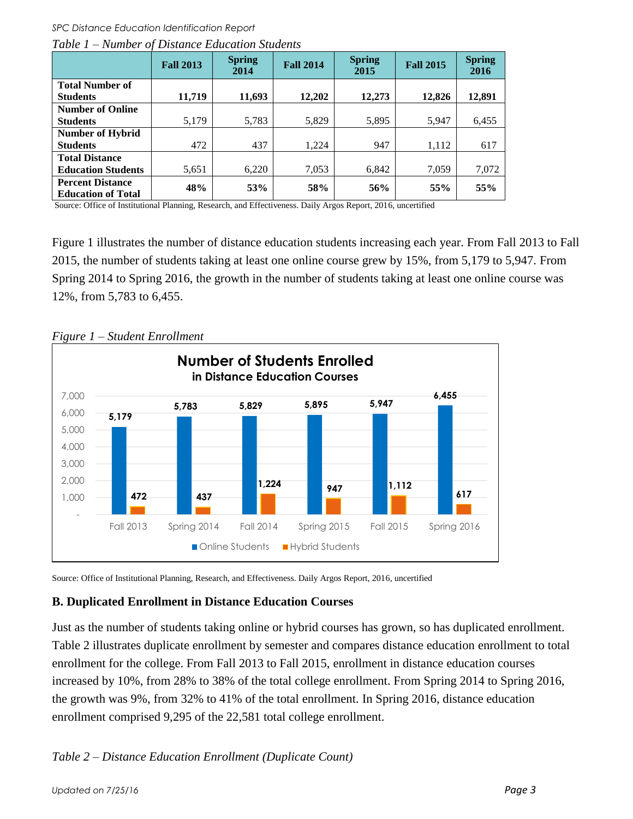*SPC Distance Education Identification Report*

|                                                      | <b>Fall 2013</b> | <b>Spring</b><br>2014 | <b>Fall 2014</b> | <b>Spring</b><br>2015 | <b>Fall 2015</b> | <b>Spring</b><br>2016 |
|------------------------------------------------------|------------------|-----------------------|------------------|-----------------------|------------------|-----------------------|
| <b>Total Number of</b>                               |                  |                       |                  |                       |                  |                       |
| <b>Students</b>                                      | 11,719           | 11,693                | 12,202           | 12,273                | 12,826           | 12,891                |
| <b>Number of Online</b>                              |                  |                       |                  |                       |                  |                       |
| <b>Students</b>                                      | 5,179            | 5,783                 | 5,829            | 5,895                 | 5,947            | 6,455                 |
| <b>Number of Hybrid</b>                              |                  |                       |                  |                       |                  |                       |
| <b>Students</b>                                      | 472              | 437                   | 1.224            | 947                   | 1,112            | 617                   |
| <b>Total Distance</b>                                |                  |                       |                  |                       |                  |                       |
| <b>Education Students</b>                            | 5,651            | 6,220                 | 7,053            | 6,842                 | 7,059            | 7,072                 |
| <b>Percent Distance</b><br><b>Education of Total</b> | 48%              | 53%                   | 58%              | 56%                   | 55%              | 55%                   |
|                                                      |                  |                       |                  |                       |                  |                       |

*Table 1 – Number of Distance Education Students* 

Source: Office of Institutional Planning, Research, and Effectiveness. Daily Argos Report, 2016, uncertified

Figure 1 illustrates the number of distance education students increasing each year. From Fall 2013 to Fall 2015, the number of students taking at least one online course grew by 15%, from 5,179 to 5,947. From Spring 2014 to Spring 2016, the growth in the number of students taking at least one online course was 12%, from 5,783 to 6,455.



*Figure 1 – Student Enrollment*

Source: Office of Institutional Planning, Research, and Effectiveness. Daily Argos Report, 2016, uncertified

### **B. Duplicated Enrollment in Distance Education Courses**

Just as the number of students taking online or hybrid courses has grown, so has duplicated enrollment. Table 2 illustrates duplicate enrollment by semester and compares distance education enrollment to total enrollment for the college. From Fall 2013 to Fall 2015, enrollment in distance education courses increased by 10%, from 28% to 38% of the total college enrollment. From Spring 2014 to Spring 2016, the growth was 9%, from 32% to 41% of the total enrollment. In Spring 2016, distance education enrollment comprised 9,295 of the 22,581 total college enrollment.

### *Table 2 – Distance Education Enrollment (Duplicate Count)*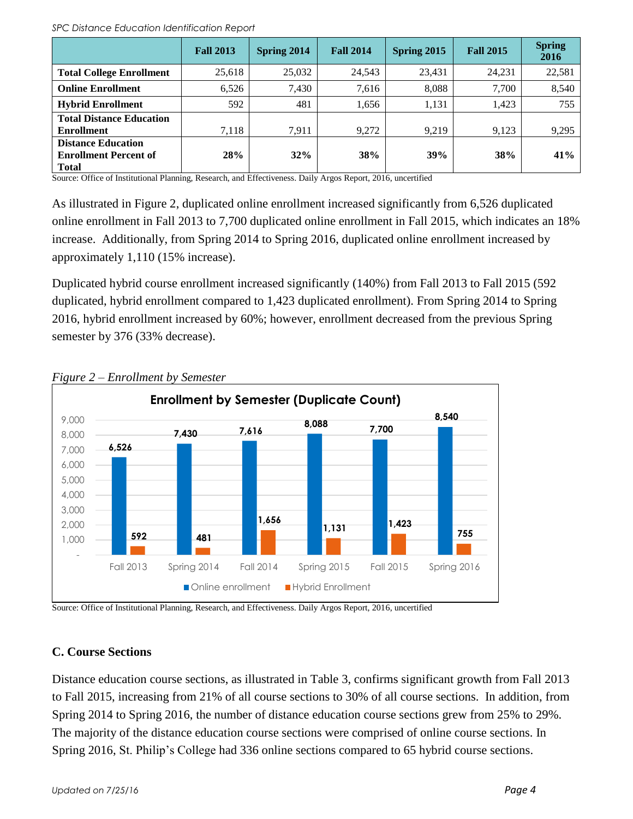|                                                                           | <b>Fall 2013</b> | Spring 2014 | <b>Fall 2014</b> | Spring 2015 | <b>Fall 2015</b> | <b>Spring</b><br>2016 |
|---------------------------------------------------------------------------|------------------|-------------|------------------|-------------|------------------|-----------------------|
| <b>Total College Enrollment</b>                                           | 25,618           | 25,032      | 24,543           | 23,431      | 24,231           | 22,581                |
| <b>Online Enrollment</b>                                                  | 6,526            | 7,430       | 7,616            | 8,088       | 7,700            | 8,540                 |
| <b>Hybrid Enrollment</b>                                                  | 592              | 481         | 1,656            | 1,131       | 1,423            | 755                   |
| <b>Total Distance Education</b><br><b>Enrollment</b>                      | 7.118            | 7.911       | 9.272            | 9.219       | 9,123            | 9,295                 |
| <b>Distance Education</b><br><b>Enrollment Percent of</b><br><b>Total</b> | 28%              | 32%         | <b>38%</b>       | 39%         | 38%              | 41%                   |

Source: Office of Institutional Planning, Research, and Effectiveness. Daily Argos Report, 2016, uncertified

As illustrated in Figure 2, duplicated online enrollment increased significantly from 6,526 duplicated online enrollment in Fall 2013 to 7,700 duplicated online enrollment in Fall 2015, which indicates an 18% increase. Additionally, from Spring 2014 to Spring 2016, duplicated online enrollment increased by approximately 1,110 (15% increase).

Duplicated hybrid course enrollment increased significantly (140%) from Fall 2013 to Fall 2015 (592 duplicated, hybrid enrollment compared to 1,423 duplicated enrollment). From Spring 2014 to Spring 2016, hybrid enrollment increased by 60%; however, enrollment decreased from the previous Spring semester by 376 (33% decrease).



### *Figure 2 – Enrollment by Semester*

Source: Office of Institutional Planning, Research, and Effectiveness. Daily Argos Report, 2016, uncertified

### **C. Course Sections**

Distance education course sections, as illustrated in Table 3, confirms significant growth from Fall 2013 to Fall 2015, increasing from 21% of all course sections to 30% of all course sections. In addition, from Spring 2014 to Spring 2016, the number of distance education course sections grew from 25% to 29%. The majority of the distance education course sections were comprised of online course sections. In Spring 2016, St. Philip's College had 336 online sections compared to 65 hybrid course sections.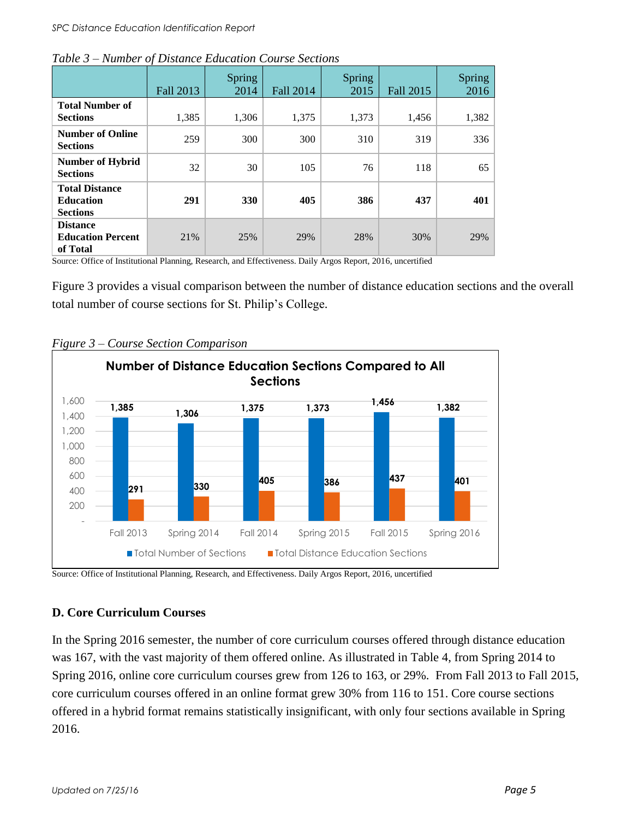|                                                              | <b>Fall 2013</b> | <b>Spring</b><br>2014 | Fall 2014 | <b>Spring</b><br>2015 | Fall 2015 | Spring<br>2016 |
|--------------------------------------------------------------|------------------|-----------------------|-----------|-----------------------|-----------|----------------|
| <b>Total Number of</b><br><b>Sections</b>                    | 1,385            | 1,306                 | 1,375     | 1,373                 | 1,456     | 1,382          |
| <b>Number of Online</b><br><b>Sections</b>                   | 259              | 300                   | 300       | 310                   | 319       | 336            |
| <b>Number of Hybrid</b><br><b>Sections</b>                   | 32               | 30                    | 105       | 76                    | 118       | 65             |
| <b>Total Distance</b><br><b>Education</b><br><b>Sections</b> | 291              | <b>330</b>            | 405       | 386                   | 437       | 401            |
| <b>Distance</b><br><b>Education Percent</b><br>of Total      | 21%              | 25%                   | 29%       | 28%                   | 30%       | 29%            |

|  | Table 3 – Number of Distance Education Course Sections |
|--|--------------------------------------------------------|
|--|--------------------------------------------------------|

Source: Office of Institutional Planning, Research, and Effectiveness. Daily Argos Report, 2016, uncertified

Figure 3 provides a visual comparison between the number of distance education sections and the overall total number of course sections for St. Philip's College.



#### *Figure 3 – Course Section Comparison*

Source: Office of Institutional Planning, Research, and Effectiveness. Daily Argos Report, 2016, uncertified

### **D. Core Curriculum Courses**

In the Spring 2016 semester, the number of core curriculum courses offered through distance education was 167, with the vast majority of them offered online. As illustrated in Table 4, from Spring 2014 to Spring 2016, online core curriculum courses grew from 126 to 163, or 29%. From Fall 2013 to Fall 2015, core curriculum courses offered in an online format grew 30% from 116 to 151. Core course sections offered in a hybrid format remains statistically insignificant, with only four sections available in Spring 2016.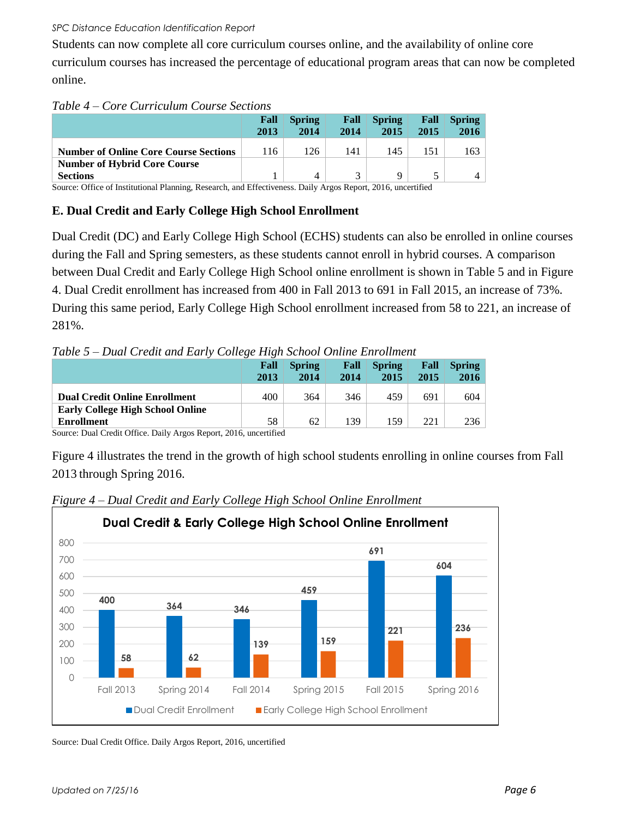Students can now complete all core curriculum courses online, and the availability of online core curriculum courses has increased the percentage of educational program areas that can now be completed online.

### *Table 4 – Core Curriculum Course Sections*

|                                              | Fall<br>2013 | <b>Spring</b><br>2014 | Fall<br>2014 | <b>Spring</b><br>2015 | Fall<br>2015 | <b>Spring</b><br>2016 |
|----------------------------------------------|--------------|-----------------------|--------------|-----------------------|--------------|-----------------------|
| <b>Number of Online Core Course Sections</b> | 116          | 126                   | 141          | 145                   | 151          | 163                   |
| <b>Number of Hybrid Core Course</b>          |              |                       |              |                       |              |                       |
| <b>Sections</b>                              |              | Δ                     |              | Q                     |              |                       |

Source: Office of Institutional Planning, Research, and Effectiveness. Daily Argos Report, 2016, uncertified

### **E. Dual Credit and Early College High School Enrollment**

Dual Credit (DC) and Early College High School (ECHS) students can also be enrolled in online courses during the Fall and Spring semesters, as these students cannot enroll in hybrid courses. A comparison between Dual Credit and Early College High School online enrollment is shown in Table 5 and in Figure 4. Dual Credit enrollment has increased from 400 in Fall 2013 to 691 in Fall 2015, an increase of 73%. During this same period, Early College High School enrollment increased from 58 to 221, an increase of 281%.

*Table 5 – Dual Credit and Early College High School Online Enrollment*

|                                                       | Fall<br>2013 | <b>Spring</b><br>2014 | Fall<br>2014 | <b>Spring</b><br>2015 | Fall<br>2015 | <b>Spring</b><br>2016 |
|-------------------------------------------------------|--------------|-----------------------|--------------|-----------------------|--------------|-----------------------|
| <b>Dual Credit Online Enrollment</b>                  | 400          | 364                   | 346          | 459                   | 691          | 604                   |
| <b>Early College High School Online</b><br>Enrollment | 58           | 62                    | 139          | 159                   | 221          | 236                   |

Source: Dual Credit Office. Daily Argos Report, 2016, uncertified

Figure 4 illustrates the trend in the growth of high school students enrolling in online courses from Fall 2013 through Spring 2016.



*Figure 4 – Dual Credit and Early College High School Online Enrollment*

Source: Dual Credit Office. Daily Argos Report, 2016, uncertified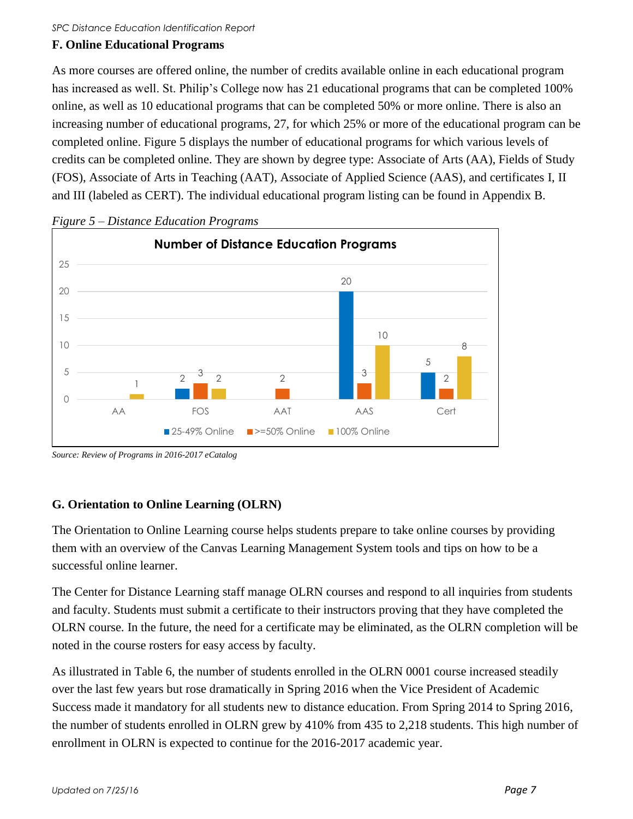### **F. Online Educational Programs**

As more courses are offered online, the number of credits available online in each educational program has increased as well. St. Philip's College now has 21 educational programs that can be completed 100% online, as well as 10 educational programs that can be completed 50% or more online. There is also an increasing number of educational programs, 27, for which 25% or more of the educational program can be completed online. Figure 5 displays the number of educational programs for which various levels of credits can be completed online. They are shown by degree type: Associate of Arts (AA), Fields of Study (FOS), Associate of Arts in Teaching (AAT), Associate of Applied Science (AAS), and certificates I, II and III (labeled as CERT). The individual educational program listing can be found in Appendix B.



*Figure 5 – Distance Education Programs* 

### **G. Orientation to Online Learning (OLRN)**

The Orientation to Online Learning course helps students prepare to take online courses by providing them with an overview of the Canvas Learning Management System tools and tips on how to be a successful online learner.

The Center for Distance Learning staff manage OLRN courses and respond to all inquiries from students and faculty. Students must submit a certificate to their instructors proving that they have completed the OLRN course. In the future, the need for a certificate may be eliminated, as the OLRN completion will be noted in the course rosters for easy access by faculty.

As illustrated in Table 6, the number of students enrolled in the OLRN 0001 course increased steadily over the last few years but rose dramatically in Spring 2016 when the Vice President of Academic Success made it mandatory for all students new to distance education. From Spring 2014 to Spring 2016, the number of students enrolled in OLRN grew by 410% from 435 to 2,218 students. This high number of enrollment in OLRN is expected to continue for the 2016-2017 academic year.

*Source: Review of Programs in 2016-2017 eCatalog*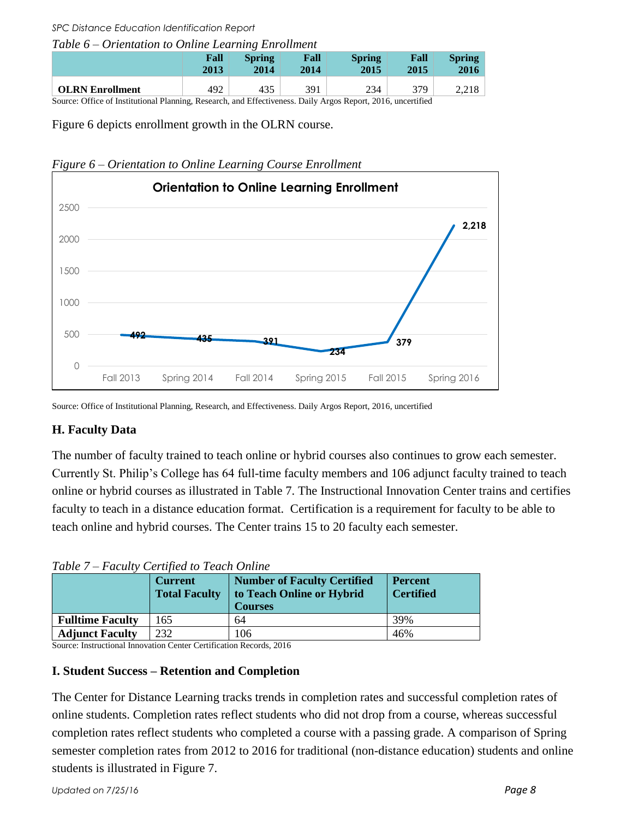#### *Table 6 – Orientation to Online Learning Enrollment*

|                        | Fall | <b>Spring</b> | Fall | <b>Spring</b> | Fall | <b>Spring</b> |
|------------------------|------|---------------|------|---------------|------|---------------|
|                        | 2013 | 2014          | 2014 | 2015          | 2015 | 2016          |
| <b>OLRN</b> Enrollment | 492  | 435           | 391  | 234           | 379  | 2,210         |

Source: Office of Institutional Planning, Research, and Effectiveness. Daily Argos Report, 2016, uncertified

Figure 6 depicts enrollment growth in the OLRN course.





Source: Office of Institutional Planning, Research, and Effectiveness. Daily Argos Report, 2016, uncertified

### **H. Faculty Data**

The number of faculty trained to teach online or hybrid courses also continues to grow each semester. Currently St. Philip's College has 64 full-time faculty members and 106 adjunct faculty trained to teach online or hybrid courses as illustrated in Table 7. The Instructional Innovation Center trains and certifies faculty to teach in a distance education format. Certification is a requirement for faculty to be able to teach online and hybrid courses. The Center trains 15 to 20 faculty each semester.

| Table $t - T$ acan't centrica to Teach Online |                                        |                                                                                   |                                    |  |  |  |  |  |
|-----------------------------------------------|----------------------------------------|-----------------------------------------------------------------------------------|------------------------------------|--|--|--|--|--|
|                                               | <b>Current</b><br><b>Total Faculty</b> | <b>Number of Faculty Certified</b><br>to Teach Online or Hybrid<br><b>Courses</b> | <b>Percent</b><br><b>Certified</b> |  |  |  |  |  |
| <b>Fulltime Faculty</b>                       | 65                                     | 64                                                                                | 39%                                |  |  |  |  |  |
| <b>Adjunct Faculty</b>                        | 232                                    | 106                                                                               | 46%                                |  |  |  |  |  |

*Table 7 – Faculty Certified to Teach Online* 

Source: Instructional Innovation Center Certification Records, 2016

### **I. Student Success – Retention and Completion**

The Center for Distance Learning tracks trends in completion rates and successful completion rates of online students. Completion rates reflect students who did not drop from a course, whereas successful completion rates reflect students who completed a course with a passing grade. A comparison of Spring semester completion rates from 2012 to 2016 for traditional (non-distance education) students and online students is illustrated in Figure 7.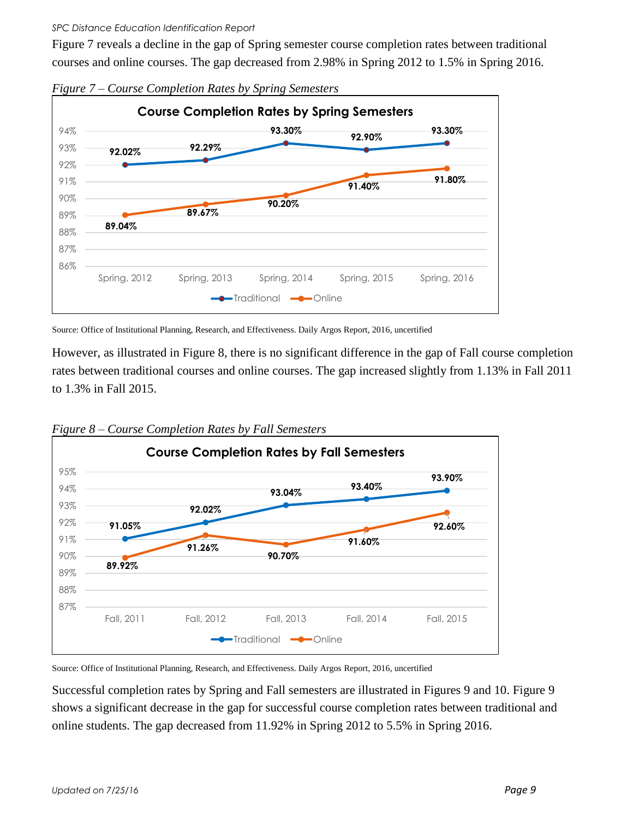Figure 7 reveals a decline in the gap of Spring semester course completion rates between traditional courses and online courses. The gap decreased from 2.98% in Spring 2012 to 1.5% in Spring 2016.



*Figure 7 – Course Completion Rates by Spring Semesters*

Source: Office of Institutional Planning, Research, and Effectiveness. Daily Argos Report, 2016, uncertified

However, as illustrated in Figure 8, there is no significant difference in the gap of Fall course completion rates between traditional courses and online courses. The gap increased slightly from 1.13% in Fall 2011 to 1.3% in Fall 2015.



*Figure 8 – Course Completion Rates by Fall Semesters*

Source: Office of Institutional Planning, Research, and Effectiveness. Daily Argos Report, 2016, uncertified

Successful completion rates by Spring and Fall semesters are illustrated in Figures 9 and 10. Figure 9 shows a significant decrease in the gap for successful course completion rates between traditional and online students. The gap decreased from 11.92% in Spring 2012 to 5.5% in Spring 2016.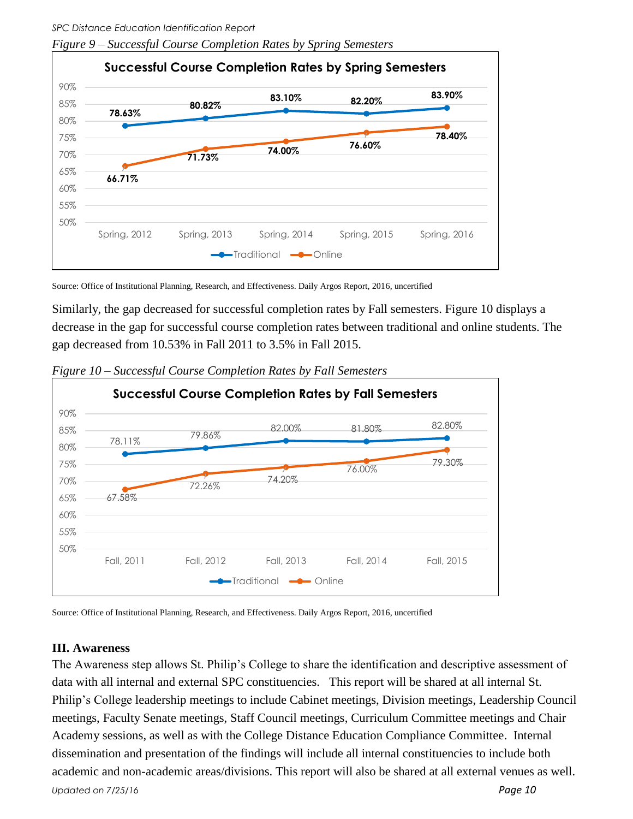*SPC Distance Education Identification Report Figure 9 – Successful Course Completion Rates by Spring Semesters*



Source: Office of Institutional Planning, Research, and Effectiveness. Daily Argos Report, 2016, uncertified

Similarly, the gap decreased for successful completion rates by Fall semesters. Figure 10 displays a decrease in the gap for successful course completion rates between traditional and online students. The gap decreased from 10.53% in Fall 2011 to 3.5% in Fall 2015.



*Figure 10 – Successful Course Completion Rates by Fall Semesters* 

Source: Office of Institutional Planning, Research, and Effectiveness. Daily Argos Report, 2016, uncertified

### **III. Awareness**

*Updated on 7/25/16 Page 10* The Awareness step allows St. Philip's College to share the identification and descriptive assessment of data with all internal and external SPC constituencies. This report will be shared at all internal St. Philip's College leadership meetings to include Cabinet meetings, Division meetings, Leadership Council meetings, Faculty Senate meetings, Staff Council meetings, Curriculum Committee meetings and Chair Academy sessions, as well as with the College Distance Education Compliance Committee. Internal dissemination and presentation of the findings will include all internal constituencies to include both academic and non-academic areas/divisions. This report will also be shared at all external venues as well.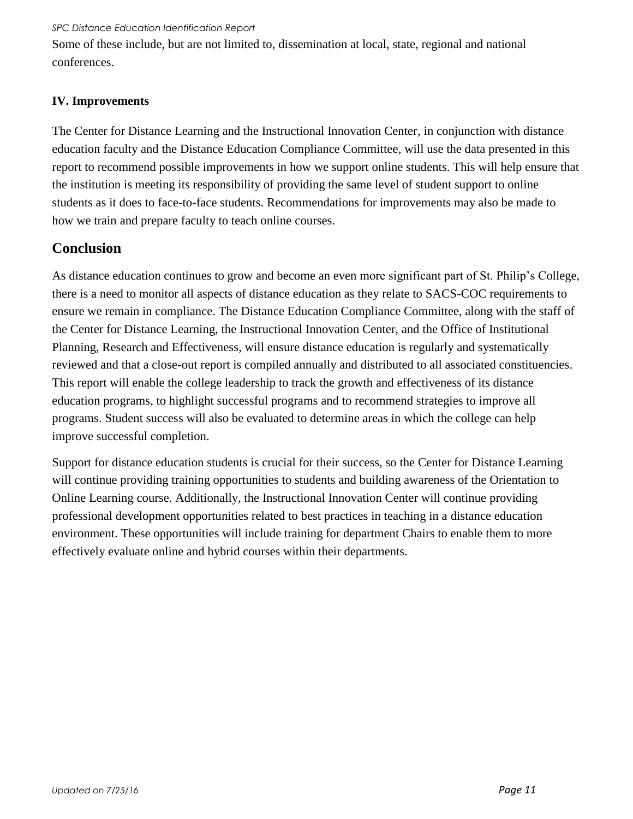Some of these include, but are not limited to, dissemination at local, state, regional and national conferences.

### **IV. Improvements**

The Center for Distance Learning and the Instructional Innovation Center, in conjunction with distance education faculty and the Distance Education Compliance Committee, will use the data presented in this report to recommend possible improvements in how we support online students. This will help ensure that the institution is meeting its responsibility of providing the same level of student support to online students as it does to face-to-face students. Recommendations for improvements may also be made to how we train and prepare faculty to teach online courses.

### **Conclusion**

As distance education continues to grow and become an even more significant part of St. Philip's College, there is a need to monitor all aspects of distance education as they relate to SACS-COC requirements to ensure we remain in compliance. The Distance Education Compliance Committee, along with the staff of the Center for Distance Learning, the Instructional Innovation Center, and the Office of Institutional Planning, Research and Effectiveness, will ensure distance education is regularly and systematically reviewed and that a close-out report is compiled annually and distributed to all associated constituencies. This report will enable the college leadership to track the growth and effectiveness of its distance education programs, to highlight successful programs and to recommend strategies to improve all programs. Student success will also be evaluated to determine areas in which the college can help improve successful completion.

Support for distance education students is crucial for their success, so the Center for Distance Learning will continue providing training opportunities to students and building awareness of the Orientation to Online Learning course. Additionally, the Instructional Innovation Center will continue providing professional development opportunities related to best practices in teaching in a distance education environment. These opportunities will include training for department Chairs to enable them to more effectively evaluate online and hybrid courses within their departments.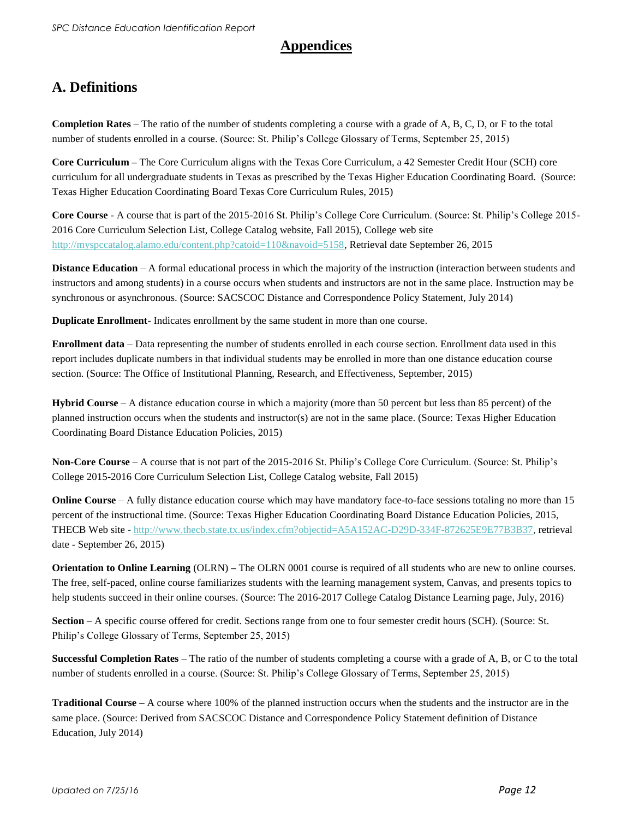### **Appendices**

### **A. Definitions**

**Completion Rates** – The ratio of the number of students completing a course with a grade of A, B, C, D, or F to the total number of students enrolled in a course. (Source: St. Philip's College Glossary of Terms, September 25, 2015)

**Core Curriculum –** The Core Curriculum aligns with the Texas Core Curriculum, a 42 Semester Credit Hour (SCH) core curriculum for all undergraduate students in Texas as prescribed by the Texas Higher Education Coordinating Board. (Source: Texas Higher Education Coordinating Board Texas Core Curriculum Rules, 2015)

**Core Course** - A course that is part of the 2015-2016 St. Philip's College Core Curriculum. (Source: St. Philip's College 2015- 2016 Core Curriculum Selection List, College Catalog website, Fall 2015), College web site [http://myspccatalog.alamo.edu/content.php?catoid=110&navoid=5158,](http://myspccatalog.alamo.edu/content.php?catoid=110&navoid=5158) Retrieval date September 26, 2015

**Distance Education** – A formal educational process in which the majority of the instruction (interaction between students and instructors and among students) in a course occurs when students and instructors are not in the same place. Instruction may be synchronous or asynchronous. (Source: SACSCOC Distance and Correspondence Policy Statement, July 2014)

**Duplicate Enrollment**- Indicates enrollment by the same student in more than one course.

**Enrollment data** – Data representing the number of students enrolled in each course section. Enrollment data used in this report includes duplicate numbers in that individual students may be enrolled in more than one distance education course section. (Source: The Office of Institutional Planning, Research, and Effectiveness, September, 2015)

**Hybrid Course** – A distance education course in which a majority (more than 50 percent but less than 85 percent) of the planned instruction occurs when the students and instructor(s) are not in the same place. (Source: Texas Higher Education Coordinating Board Distance Education Policies, 2015)

**Non-Core Course** – A course that is not part of the 2015-2016 St. Philip's College Core Curriculum. (Source: St. Philip's College 2015-2016 Core Curriculum Selection List, College Catalog website, Fall 2015)

**Online Course** – A fully distance education course which may have mandatory face-to-face sessions totaling no more than 15 percent of the instructional time. (Source: Texas Higher Education Coordinating Board Distance Education Policies, 2015, THECB Web site - [http://www.thecb.state.tx.us/index.cfm?objectid=A5A152AC-D29D-334F-872625E9E77B3B37,](http://www.thecb.state.tx.us/index.cfm?objectid=A5A152AC-D29D-334F-872625E9E77B3B37) retrieval date - September 26, 2015)

**Orientation to Online Learning** (OLRN) **–** The OLRN 0001 course is required of all students who are new to online courses. The free, self-paced, online course familiarizes students with the learning management system, Canvas, and presents topics to help students succeed in their online courses. (Source: The 2016-2017 College Catalog Distance Learning page, July, 2016)

**Section** – A specific course offered for credit. Sections range from one to four semester credit hours (SCH). (Source: St. Philip's College Glossary of Terms, September 25, 2015)

**Successful Completion Rates** – The ratio of the number of students completing a course with a grade of A, B, or C to the total number of students enrolled in a course. (Source: St. Philip's College Glossary of Terms, September 25, 2015)

**Traditional Course** – A course where 100% of the planned instruction occurs when the students and the instructor are in the same place. (Source: Derived from SACSCOC Distance and Correspondence Policy Statement definition of Distance Education, July 2014)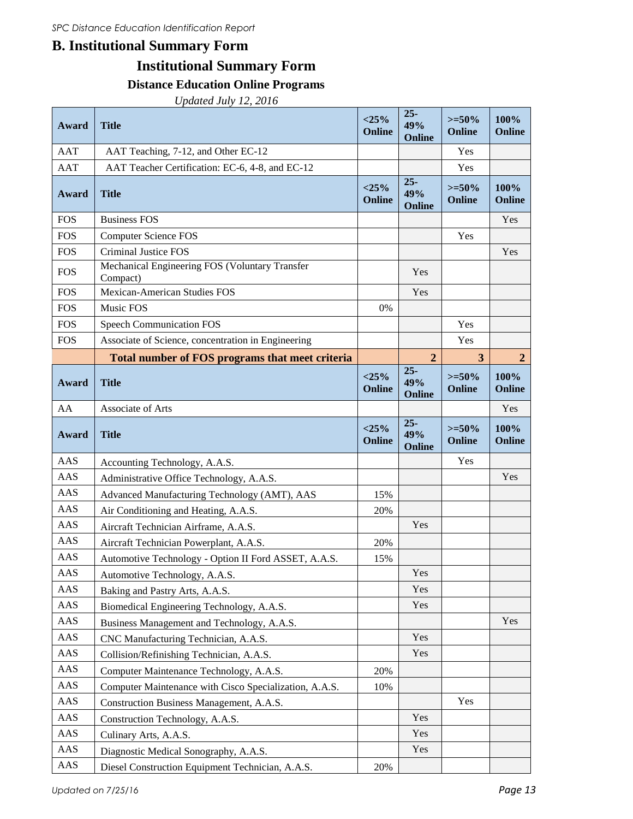### **B. Institutional Summary Form**

## **Institutional Summary Form**

### **Distance Education Online Programs**

*Updated July 12, 2016*

| Award             | <b>Title</b>                                               | $<$ 25%<br>Online | $25 -$<br>49%<br>Online | $>=50\%$<br>Online | 100%<br>Online        |
|-------------------|------------------------------------------------------------|-------------------|-------------------------|--------------------|-----------------------|
| <b>AAT</b>        | AAT Teaching, 7-12, and Other EC-12                        |                   |                         | Yes                |                       |
| <b>AAT</b>        | AAT Teacher Certification: EC-6, 4-8, and EC-12            |                   |                         | Yes                |                       |
| Award             | <b>Title</b>                                               | $<$ 25%<br>Online | $25 -$<br>49%<br>Online | $>=50%$<br>Online  | 100%<br>Online        |
| <b>FOS</b>        | <b>Business FOS</b>                                        |                   |                         |                    | Yes                   |
| <b>FOS</b>        | <b>Computer Science FOS</b>                                |                   |                         | Yes                |                       |
| <b>FOS</b>        | <b>Criminal Justice FOS</b>                                |                   |                         |                    | Yes                   |
| <b>FOS</b>        | Mechanical Engineering FOS (Voluntary Transfer<br>Compact) |                   | Yes                     |                    |                       |
| <b>FOS</b>        | <b>Mexican-American Studies FOS</b>                        |                   | Yes                     |                    |                       |
| <b>FOS</b>        | Music FOS                                                  | 0%                |                         |                    |                       |
| <b>FOS</b>        | <b>Speech Communication FOS</b>                            |                   |                         | Yes                |                       |
| <b>FOS</b>        | Associate of Science, concentration in Engineering         |                   |                         | Yes                |                       |
|                   | Total number of FOS programs that meet criteria            |                   | $\overline{2}$          | 3                  | $\boldsymbol{2}$      |
| Award             | <b>Title</b>                                               | $<$ 25%<br>Online | $25 -$<br>49%<br>Online | $>=50%$<br>Online  | 100%<br>Online        |
| AA                | Associate of Arts                                          |                   |                         |                    | Yes                   |
| Award             | <b>Title</b>                                               | $<$ 25%<br>Online | $25 -$<br>49%<br>Online | $>=50%$<br>Online  | 100%<br><b>Online</b> |
| <b>AAS</b>        | Accounting Technology, A.A.S.                              |                   |                         | Yes                |                       |
| AAS               | Administrative Office Technology, A.A.S.                   |                   |                         |                    | Yes                   |
| <b>AAS</b>        | Advanced Manufacturing Technology (AMT), AAS               | 15%               |                         |                    |                       |
| AAS               | Air Conditioning and Heating, A.A.S.                       | 20%               |                         |                    |                       |
| AAS               | Aircraft Technician Airframe, A.A.S.                       |                   | Yes                     |                    |                       |
| <b>AAS</b>        | Aircraft Technician Powerplant, A.A.S.                     | 20%               |                         |                    |                       |
| <b>AAS</b>        |                                                            |                   |                         |                    |                       |
| AAS               | Automotive Technology - Option II Ford ASSET, A.A.S.       | 15%               |                         |                    |                       |
|                   | Automotive Technology, A.A.S.                              |                   | Yes                     |                    |                       |
| AAS               | Baking and Pastry Arts, A.A.S.                             |                   | Yes                     |                    |                       |
| AAS               | Biomedical Engineering Technology, A.A.S.                  |                   | Yes                     |                    |                       |
| AAS               | Business Management and Technology, A.A.S.                 |                   |                         |                    | Yes                   |
| AAS               | CNC Manufacturing Technician, A.A.S.                       |                   | Yes                     |                    |                       |
| AAS               | Collision/Refinishing Technician, A.A.S.                   |                   | Yes                     |                    |                       |
| AAS               | Computer Maintenance Technology, A.A.S.                    | 20%               |                         |                    |                       |
| AAS               | Computer Maintenance with Cisco Specialization, A.A.S.     | 10%               |                         |                    |                       |
| AAS               | Construction Business Management, A.A.S.                   |                   |                         | Yes                |                       |
| AAS               | Construction Technology, A.A.S.                            |                   | Yes                     |                    |                       |
| AAS               | Culinary Arts, A.A.S.                                      |                   | Yes                     |                    |                       |
| AAS<br>$\rm{AAS}$ | Diagnostic Medical Sonography, A.A.S.                      |                   | Yes                     |                    |                       |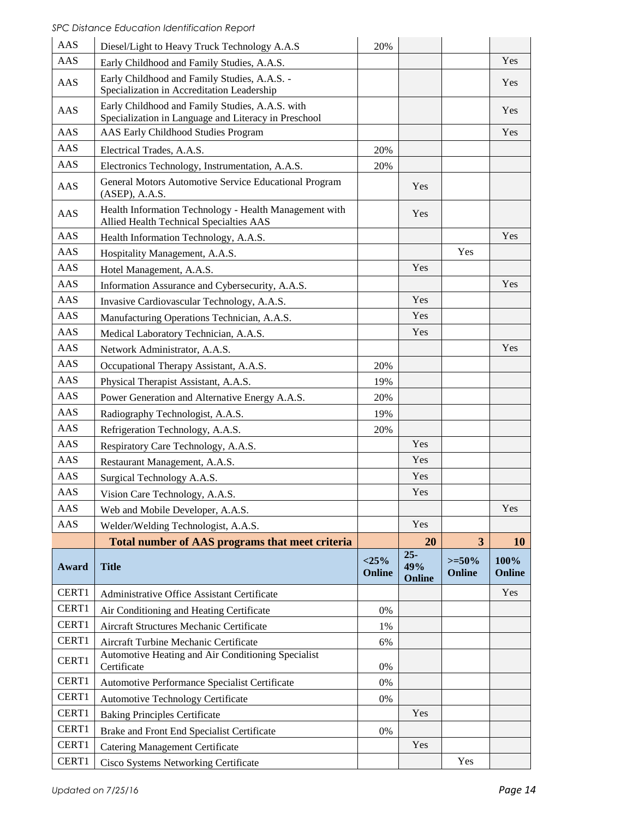| AAS   | Diesel/Light to Heavy Truck Technology A.A.S                                                            | 20%               |                         |                         |                |
|-------|---------------------------------------------------------------------------------------------------------|-------------------|-------------------------|-------------------------|----------------|
| AAS   | Early Childhood and Family Studies, A.A.S.                                                              |                   |                         |                         | Yes            |
| AAS   | Early Childhood and Family Studies, A.A.S. -<br>Specialization in Accreditation Leadership              |                   |                         |                         | Yes            |
| AAS   | Early Childhood and Family Studies, A.A.S. with<br>Specialization in Language and Literacy in Preschool |                   |                         |                         | Yes            |
| AAS   | AAS Early Childhood Studies Program                                                                     |                   |                         |                         | Yes            |
| AAS   | Electrical Trades, A.A.S.                                                                               | 20%               |                         |                         |                |
| AAS   | Electronics Technology, Instrumentation, A.A.S.                                                         | 20%               |                         |                         |                |
| AAS   | General Motors Automotive Service Educational Program<br>$(ASEP)$ , A.A.S.                              |                   | Yes                     |                         |                |
| AAS   | Health Information Technology - Health Management with<br>Allied Health Technical Specialties AAS       |                   | Yes                     |                         |                |
| AAS   | Health Information Technology, A.A.S.                                                                   |                   |                         |                         | Yes            |
| AAS   | Hospitality Management, A.A.S.                                                                          |                   |                         | Yes                     |                |
| AAS   | Hotel Management, A.A.S.                                                                                |                   | Yes                     |                         |                |
| AAS   | Information Assurance and Cybersecurity, A.A.S.                                                         |                   |                         |                         | Yes            |
| AAS   | Invasive Cardiovascular Technology, A.A.S.                                                              |                   | Yes                     |                         |                |
| AAS   | Manufacturing Operations Technician, A.A.S.                                                             |                   | Yes                     |                         |                |
| AAS   | Medical Laboratory Technician, A.A.S.                                                                   |                   | Yes                     |                         |                |
| AAS   | Network Administrator, A.A.S.                                                                           |                   |                         |                         | Yes            |
| AAS   | Occupational Therapy Assistant, A.A.S.                                                                  | 20%               |                         |                         |                |
| AAS   | Physical Therapist Assistant, A.A.S.                                                                    | 19%               |                         |                         |                |
| AAS   | Power Generation and Alternative Energy A.A.S.                                                          | 20%               |                         |                         |                |
| AAS   | Radiography Technologist, A.A.S.                                                                        | 19%               |                         |                         |                |
| AAS   | Refrigeration Technology, A.A.S.                                                                        | 20%               |                         |                         |                |
| AAS   | Respiratory Care Technology, A.A.S.                                                                     |                   | Yes                     |                         |                |
| AAS   | Restaurant Management, A.A.S.                                                                           |                   | Yes                     |                         |                |
| AAS   | Surgical Technology A.A.S.                                                                              |                   | Yes                     |                         |                |
| AAS   | Vision Care Technology, A.A.S.                                                                          |                   | Yes                     |                         |                |
| AAS   | Web and Mobile Developer, A.A.S.                                                                        |                   |                         |                         | Yes            |
| AAS   | Welder/Welding Technologist, A.A.S.                                                                     |                   | Yes                     |                         |                |
|       | Total number of AAS programs that meet criteria                                                         |                   | 20                      | $\overline{\mathbf{3}}$ | <b>10</b>      |
| Award | <b>Title</b>                                                                                            | $<$ 25%<br>Online | $25 -$<br>49%<br>Online | $>=50%$<br>Online       | 100%<br>Online |
| CERT1 | Administrative Office Assistant Certificate                                                             |                   |                         |                         | Yes            |
| CERT1 | Air Conditioning and Heating Certificate                                                                | 0%                |                         |                         |                |
| CERT1 | Aircraft Structures Mechanic Certificate                                                                | 1%                |                         |                         |                |
| CERT1 | Aircraft Turbine Mechanic Certificate                                                                   | 6%                |                         |                         |                |
| CERT1 | Automotive Heating and Air Conditioning Specialist<br>Certificate                                       | 0%                |                         |                         |                |
| CERT1 | Automotive Performance Specialist Certificate                                                           | $0\%$             |                         |                         |                |
| CERT1 | Automotive Technology Certificate                                                                       | 0%                |                         |                         |                |
| CERT1 | <b>Baking Principles Certificate</b>                                                                    |                   | Yes                     |                         |                |
| CERT1 | Brake and Front End Specialist Certificate                                                              | 0%                |                         |                         |                |
| CERT1 | <b>Catering Management Certificate</b>                                                                  |                   | Yes                     |                         |                |
| CERT1 | Cisco Systems Networking Certificate                                                                    |                   |                         | Yes                     |                |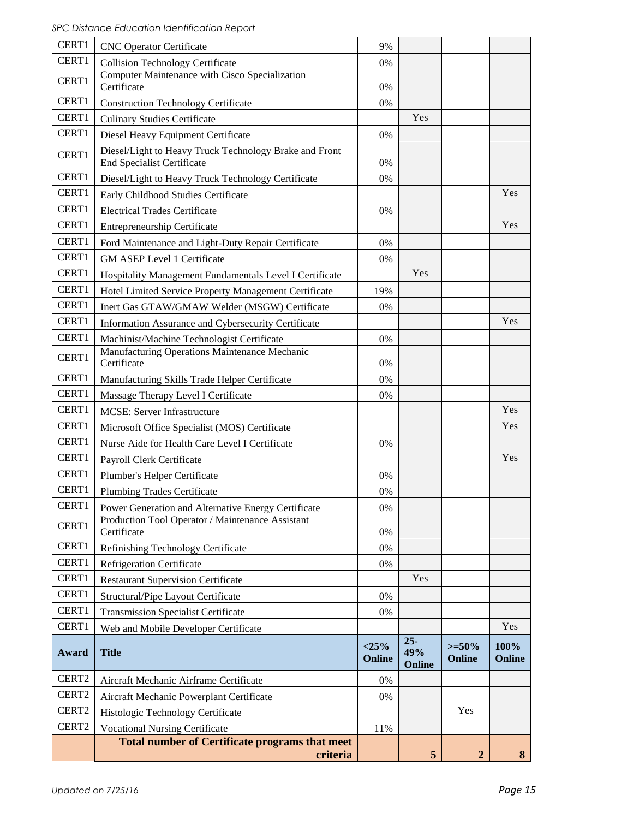| CERT1 | <b>CNC</b> Operator Certificate                                                             | 9%                |                         |                   |                |
|-------|---------------------------------------------------------------------------------------------|-------------------|-------------------------|-------------------|----------------|
| CERT1 | <b>Collision Technology Certificate</b>                                                     | 0%                |                         |                   |                |
|       | Computer Maintenance with Cisco Specialization                                              |                   |                         |                   |                |
| CERT1 | Certificate                                                                                 | 0%                |                         |                   |                |
| CERT1 | <b>Construction Technology Certificate</b>                                                  | 0%                |                         |                   |                |
| CERT1 | <b>Culinary Studies Certificate</b>                                                         |                   | Yes                     |                   |                |
| CERT1 | Diesel Heavy Equipment Certificate                                                          | 0%                |                         |                   |                |
| CERT1 | Diesel/Light to Heavy Truck Technology Brake and Front<br><b>End Specialist Certificate</b> | 0%                |                         |                   |                |
| CERT1 | Diesel/Light to Heavy Truck Technology Certificate                                          | 0%                |                         |                   |                |
| CERT1 | Early Childhood Studies Certificate                                                         |                   |                         |                   | Yes            |
| CERT1 | <b>Electrical Trades Certificate</b>                                                        | 0%                |                         |                   |                |
| CERT1 | <b>Entrepreneurship Certificate</b>                                                         |                   |                         |                   | Yes            |
| CERT1 | Ford Maintenance and Light-Duty Repair Certificate                                          | 0%                |                         |                   |                |
| CERT1 | <b>GM ASEP Level 1 Certificate</b>                                                          | 0%                |                         |                   |                |
| CERT1 | Hospitality Management Fundamentals Level I Certificate                                     |                   | Yes                     |                   |                |
| CERT1 | Hotel Limited Service Property Management Certificate                                       | 19%               |                         |                   |                |
| CERT1 | Inert Gas GTAW/GMAW Welder (MSGW) Certificate                                               | 0%                |                         |                   |                |
| CERT1 | Information Assurance and Cybersecurity Certificate                                         |                   |                         |                   | Yes            |
| CERT1 | Machinist/Machine Technologist Certificate                                                  | 0%                |                         |                   |                |
| CERT1 | Manufacturing Operations Maintenance Mechanic<br>Certificate                                | 0%                |                         |                   |                |
| CERT1 | Manufacturing Skills Trade Helper Certificate                                               | 0%                |                         |                   |                |
| CERT1 | Massage Therapy Level I Certificate                                                         | 0%                |                         |                   |                |
| CERT1 | MCSE: Server Infrastructure                                                                 |                   |                         |                   | Yes            |
| CERT1 | Microsoft Office Specialist (MOS) Certificate                                               |                   |                         |                   | Yes            |
| CERT1 | Nurse Aide for Health Care Level I Certificate                                              | 0%                |                         |                   |                |
| CERT1 | Payroll Clerk Certificate                                                                   |                   |                         |                   | Yes            |
| CERT1 | Plumber's Helper Certificate                                                                | 0%                |                         |                   |                |
| CERT1 | <b>Plumbing Trades Certificate</b>                                                          | 0%                |                         |                   |                |
| CERT1 | Power Generation and Alternative Energy Certificate                                         | 0%                |                         |                   |                |
| CERT1 | Production Tool Operator / Maintenance Assistant<br>Certificate                             | 0%                |                         |                   |                |
| CERT1 | Refinishing Technology Certificate                                                          | 0%                |                         |                   |                |
| CERT1 | <b>Refrigeration Certificate</b>                                                            | 0%                |                         |                   |                |
| CERT1 | <b>Restaurant Supervision Certificate</b>                                                   |                   | Yes                     |                   |                |
| CERT1 | Structural/Pipe Layout Certificate                                                          | 0%                |                         |                   |                |
| CERT1 | <b>Transmission Specialist Certificate</b>                                                  | 0%                |                         |                   |                |
| CERT1 | Web and Mobile Developer Certificate                                                        |                   |                         |                   | Yes            |
| Award | <b>Title</b>                                                                                | $<$ 25%<br>Online | $25 -$<br>49%<br>Online | $>=50%$<br>Online | 100%<br>Online |
| CERT2 | Aircraft Mechanic Airframe Certificate                                                      | 0%                |                         |                   |                |
| CERT2 | Aircraft Mechanic Powerplant Certificate                                                    | 0%                |                         |                   |                |
| CERT2 | Histologic Technology Certificate                                                           |                   |                         | Yes               |                |
| CERT2 | <b>Vocational Nursing Certificate</b>                                                       | 11%               |                         |                   |                |
|       | <b>Total number of Certificate programs that meet</b><br>criteria                           |                   | 5                       | $\boldsymbol{2}$  | 8              |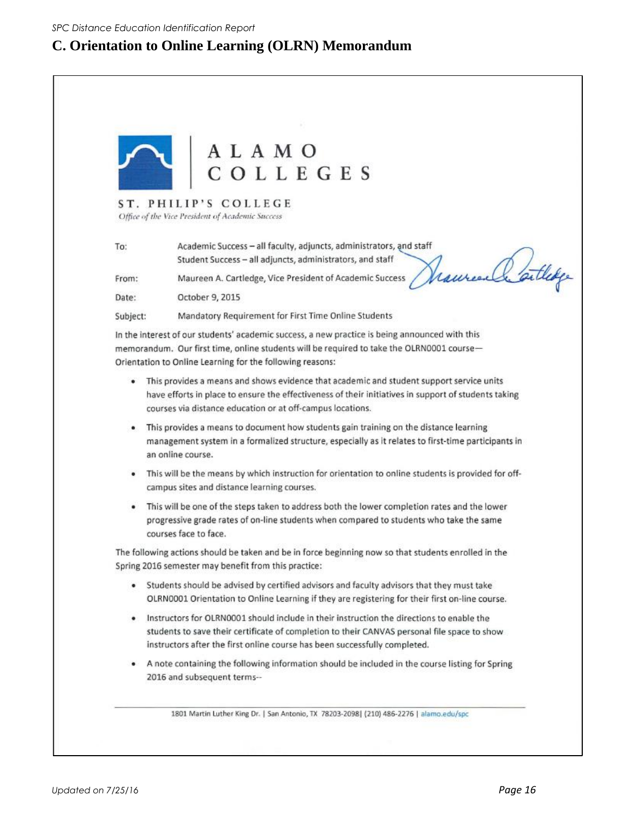### **C. Orientation to Online Learning (OLRN) Memorandum**

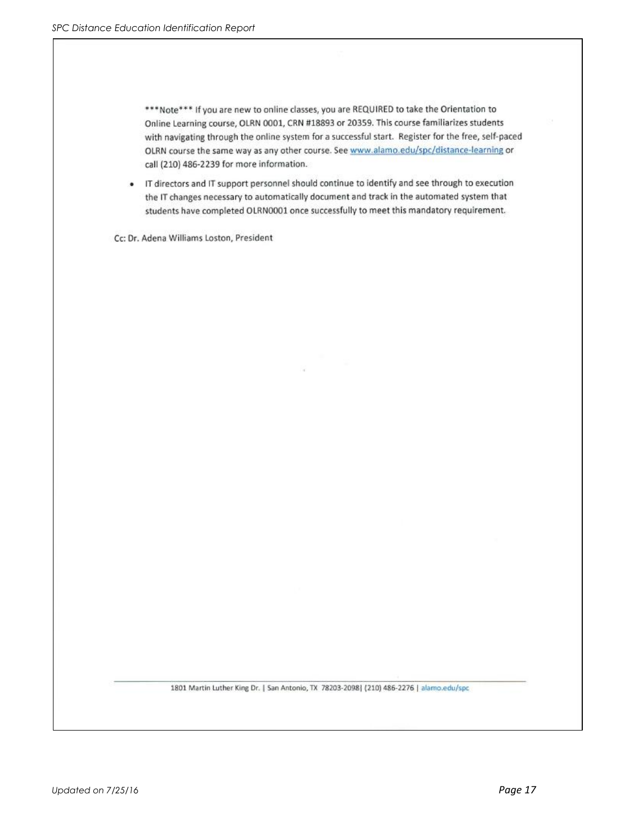\*\*\*Note\*\*\* If you are new to online classes, you are REQUIRED to take the Orientation to Online Learning course, OLRN 0001, CRN #18893 or 20359. This course familiarizes students with navigating through the online system for a successful start. Register for the free, self-paced OLRN course the same way as any other course. See www.alamo.edu/spc/distance-learning or call (210) 486-2239 for more information.

• IT directors and IT support personnel should continue to identify and see through to execution the IT changes necessary to automatically document and track in the automated system that students have completed OLRN0001 once successfully to meet this mandatory requirement.

Cc: Dr. Adena Williams Loston, President

1801 Martin Luther King Dr. | San Antonio, TX 78203-2098| (210) 486-2276 | alamo.edu/spc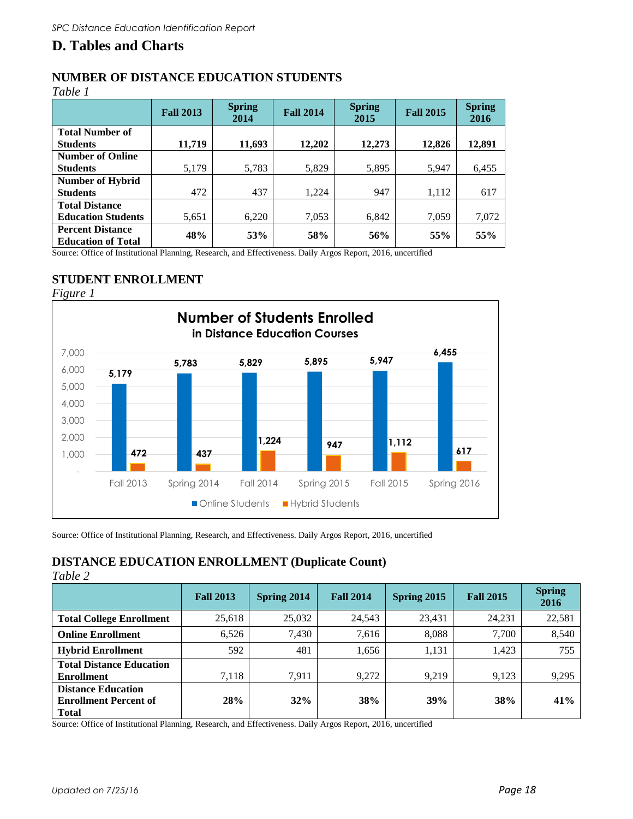### **D. Tables and Charts**

### **NUMBER OF DISTANCE EDUCATION STUDENTS**

*Table 1* 

|                                                      | <b>Fall 2013</b> | <b>Spring</b><br>2014 | <b>Fall 2014</b> | <b>Spring</b><br>2015 | <b>Fall 2015</b> | <b>Spring</b><br>2016 |
|------------------------------------------------------|------------------|-----------------------|------------------|-----------------------|------------------|-----------------------|
| <b>Total Number of</b>                               |                  |                       |                  |                       |                  |                       |
| <b>Students</b>                                      | 11.719           | 11,693                | 12,202           | 12,273                | 12,826           | 12,891                |
| <b>Number of Online</b>                              |                  |                       |                  |                       |                  |                       |
| <b>Students</b>                                      | 5,179            | 5,783                 | 5,829            | 5,895                 | 5,947            | 6,455                 |
| Number of Hybrid                                     |                  |                       |                  |                       |                  |                       |
| <b>Students</b>                                      | 472              | 437                   | 1,224            | 947                   | 1,112            | 617                   |
| <b>Total Distance</b>                                |                  |                       |                  |                       |                  |                       |
| <b>Education Students</b>                            | 5,651            | 6,220                 | 7,053            | 6,842                 | 7,059            | 7,072                 |
| <b>Percent Distance</b><br><b>Education of Total</b> | 48%              | 53%                   | 58%              | 56%                   | 55%              | 55%                   |

Source: Office of Institutional Planning, Research, and Effectiveness. Daily Argos Report, 2016, uncertified

### **STUDENT ENROLLMENT**



Source: Office of Institutional Planning, Research, and Effectiveness. Daily Argos Report, 2016, uncertified

### **DISTANCE EDUCATION ENROLLMENT (Duplicate Count)**

*Table 2*

|                                                                           | <b>Fall 2013</b> | Spring 2014 | <b>Fall 2014</b> | Spring 2015 | <b>Fall 2015</b> | <b>Spring</b><br>2016 |
|---------------------------------------------------------------------------|------------------|-------------|------------------|-------------|------------------|-----------------------|
| <b>Total College Enrollment</b>                                           | 25,618           | 25,032      | 24,543           | 23,431      | 24,231           | 22,581                |
| <b>Online Enrollment</b>                                                  | 6.526            | 7,430       | 7,616            | 8.088       | 7,700            | 8,540                 |
| <b>Hybrid Enrollment</b>                                                  | 592              | 481         | 1,656            | 1,131       | 1,423            | 755                   |
| <b>Total Distance Education</b><br><b>Enrollment</b>                      | 7,118            | 7,911       | 9.272            | 9,219       | 9,123            | 9,295                 |
| <b>Distance Education</b><br><b>Enrollment Percent of</b><br><b>Total</b> | 28%              | 32%         | 38%              | 39%         | 38%              | 41%                   |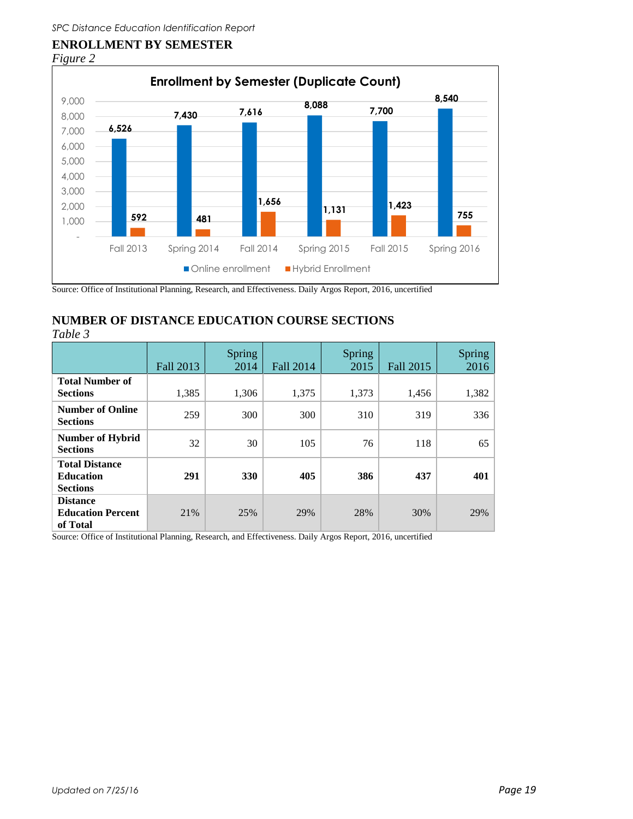# **ENROLLMENT BY SEMESTER**





Source: Office of Institutional Planning, Research, and Effectiveness. Daily Argos Report, 2016, uncertified

### **NUMBER OF DISTANCE EDUCATION COURSE SECTIONS**

*Table 3*

|                                                              | Fall 2013 | <b>Spring</b><br>2014 | Fall 2014 | <b>Spring</b><br>2015 | <b>Fall 2015</b> | Spring<br>2016 |
|--------------------------------------------------------------|-----------|-----------------------|-----------|-----------------------|------------------|----------------|
| <b>Total Number of</b><br><b>Sections</b>                    | 1,385     | 1,306                 | 1,375     | 1,373                 | 1,456            | 1,382          |
| <b>Number of Online</b><br><b>Sections</b>                   | 259       | 300                   | 300       | 310                   | 319              | 336            |
| <b>Number of Hybrid</b><br><b>Sections</b>                   | 32        | 30                    | 105       | 76                    | 118              | 65             |
| <b>Total Distance</b><br><b>Education</b><br><b>Sections</b> | 291       | <b>330</b>            | 405       | 386                   | 437              | 401            |
| <b>Distance</b><br><b>Education Percent</b><br>of Total      | 21%       | 25%                   | 29%       | 28%                   | 30%              | 29%            |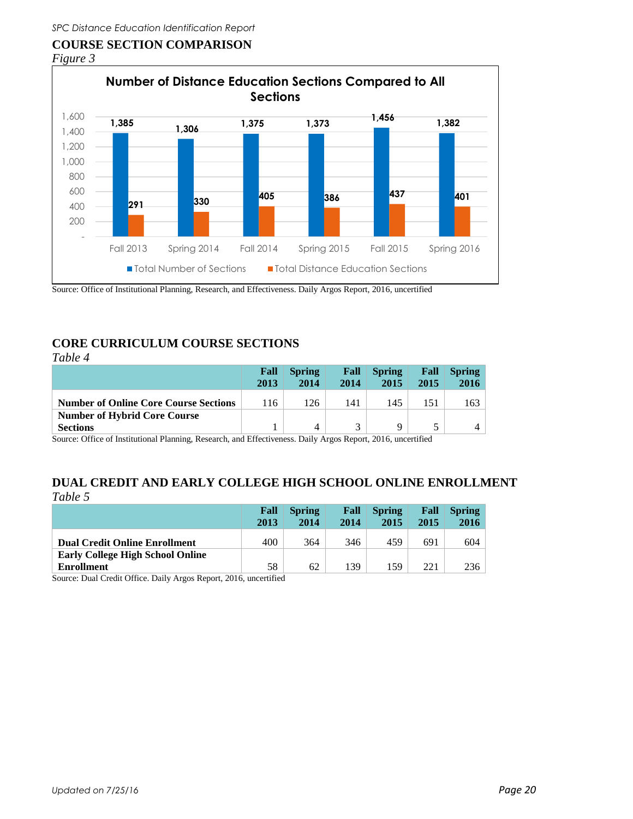### **COURSE SECTION COMPARISON**





Source: Office of Institutional Planning, Research, and Effectiveness. Daily Argos Report, 2016, uncertified

### **CORE CURRICULUM COURSE SECTIONS**

| Table 4                                      |              |                       |              |                       |              |                       |
|----------------------------------------------|--------------|-----------------------|--------------|-----------------------|--------------|-----------------------|
|                                              | Fall<br>2013 | <b>Spring</b><br>2014 | Fall<br>2014 | <b>Spring</b><br>2015 | Fall<br>2015 | <b>Spring</b><br>2016 |
| <b>Number of Online Core Course Sections</b> | 116          | 126                   | 141          | 145                   | 151          | 163                   |
| <b>Number of Hybrid Core Course</b>          |              |                       |              |                       |              |                       |
| <b>Sections</b>                              |              | 4                     | $\mathbf{z}$ | Q                     |              |                       |

Source: Office of Institutional Planning, Research, and Effectiveness. Daily Argos Report, 2016, uncertified

### **DUAL CREDIT AND EARLY COLLEGE HIGH SCHOOL ONLINE ENROLLMENT** *Table 5*

|                                         | Fall<br>2013 | <b>Spring</b><br>2014 | Fall<br>2014 | <b>Spring</b><br>2015 | Fall<br>2015 | <b>Spring</b><br>2016 |
|-----------------------------------------|--------------|-----------------------|--------------|-----------------------|--------------|-----------------------|
| <b>Dual Credit Online Enrollment</b>    | 400          | 364                   | 346          | 459                   | 691          | 604                   |
| <b>Early College High School Online</b> |              |                       |              |                       |              |                       |
| <b>Enrollment</b>                       | 58           | 62                    | 139          | .59                   | 221          | 236                   |

Source: Dual Credit Office. Daily Argos Report, 2016, uncertified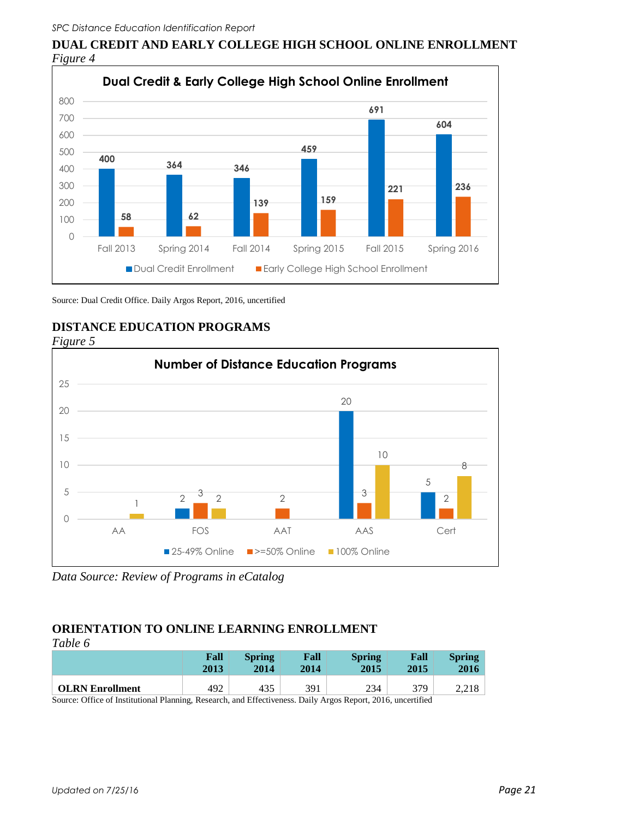**DUAL CREDIT AND EARLY COLLEGE HIGH SCHOOL ONLINE ENROLLMENT** *Figure 4* 



Source: Dual Credit Office. Daily Argos Report, 2016, uncertified







*Data Source: Review of Programs in eCatalog*

### **ORIENTATION TO ONLINE LEARNING ENROLLMENT**

| Table 6 |
|---------|
|---------|

|                                                                                                           | Fall<br>2013 | <b>Spring</b><br>2014 | Fall<br>2014 | <b>Spring</b><br>2015 | Fall<br>2015 | <b>Spring</b><br>2016 |
|-----------------------------------------------------------------------------------------------------------|--------------|-----------------------|--------------|-----------------------|--------------|-----------------------|
| <b>OLRN</b> Enrollment                                                                                    | 492          | 435                   | 391          | 234                   | 379          | 2,218                 |
| Course Office of Institutional Diamine, Deceased, and Effectiveness, Doily Agree Denom, 2016, wascutified |              |                       |              |                       |              |                       |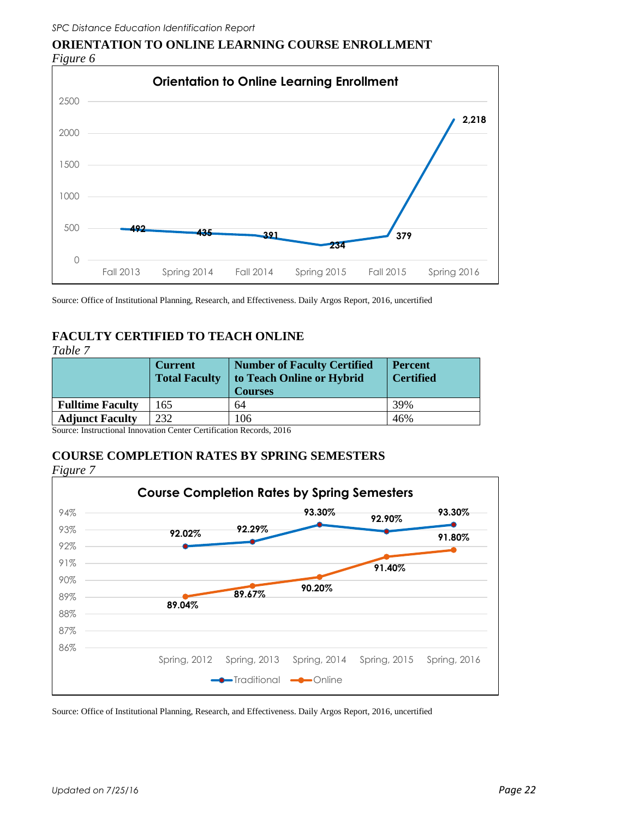

**ORIENTATION TO ONLINE LEARNING COURSE ENROLLMENT** *Figure 6* 

Source: Office of Institutional Planning, Research, and Effectiveness. Daily Argos Report, 2016, uncertified

#### **FACULTY CERTIFIED TO TEACH ONLINE**  *Table 7*

| rapie z                 | <b>Current</b><br><b>Total Faculty</b> | <b>Number of Faculty Certified</b><br>to Teach Online or Hybrid<br><b>Courses</b> | <b>Percent</b><br><b>Certified</b> |
|-------------------------|----------------------------------------|-----------------------------------------------------------------------------------|------------------------------------|
| <b>Fulltime Faculty</b> | 65                                     | 64                                                                                | 39%                                |
| <b>Adjunct Faculty</b>  | 232                                    | 106                                                                               | 46%                                |

Source: Instructional Innovation Center Certification Records, 2016

### **COURSE COMPLETION RATES BY SPRING SEMESTERS**

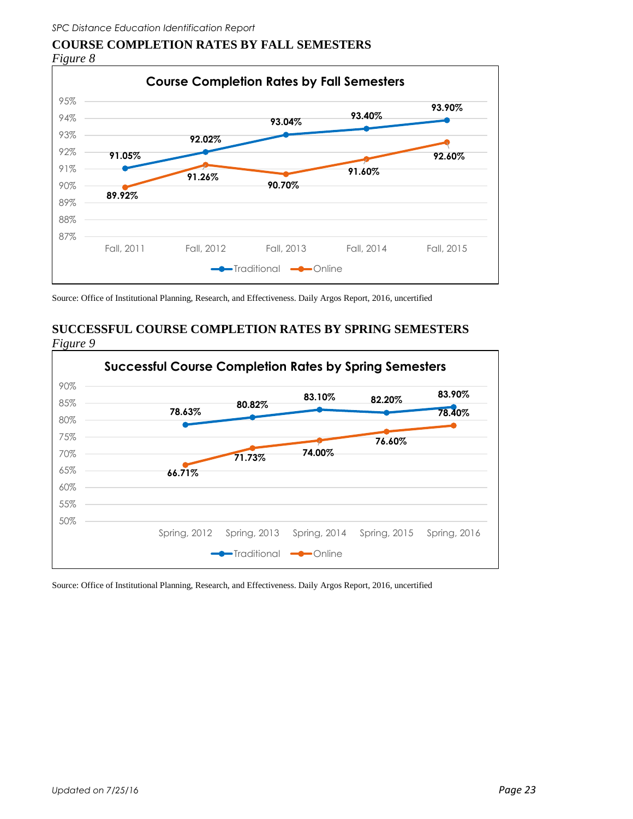### **COURSE COMPLETION RATES BY FALL SEMESTERS**  *Figure 8*



Source: Office of Institutional Planning, Research, and Effectiveness. Daily Argos Report, 2016, uncertified

### **SUCCESSFUL COURSE COMPLETION RATES BY SPRING SEMESTERS**  *Figure 9*